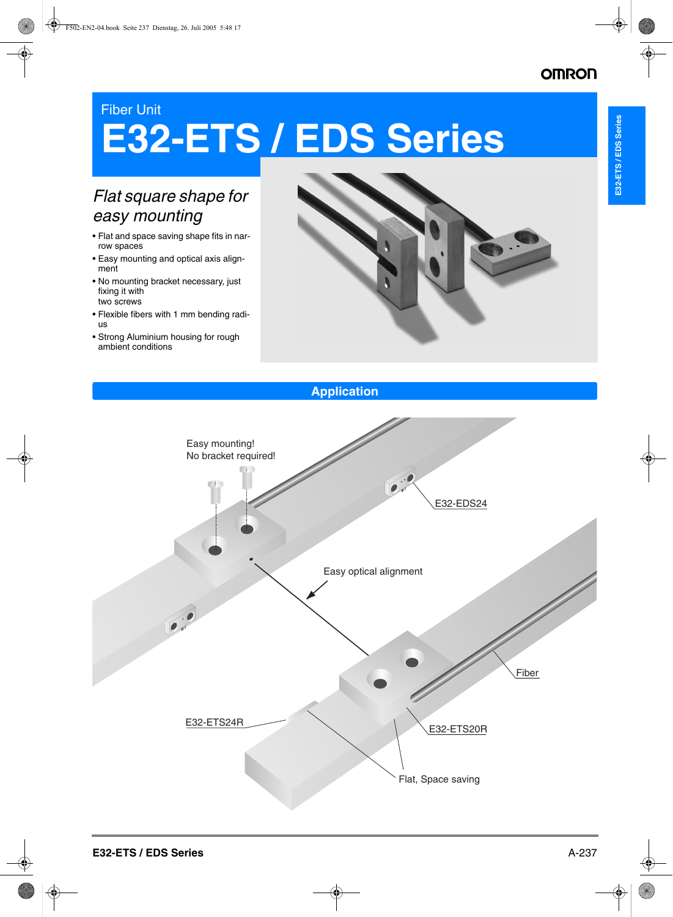## Fiber Unit

# **E32-ETS / EDS Series**

# *Flat square shape for easy mounting*

- Flat and space saving shape fits in narrow spaces
- Easy mounting and optical axis alignment
- No mounting bracket necessary, just fixing it with two screws
- Flexible fibers with 1 mm bending radius
- Strong Aluminium housing for rough ambient conditions



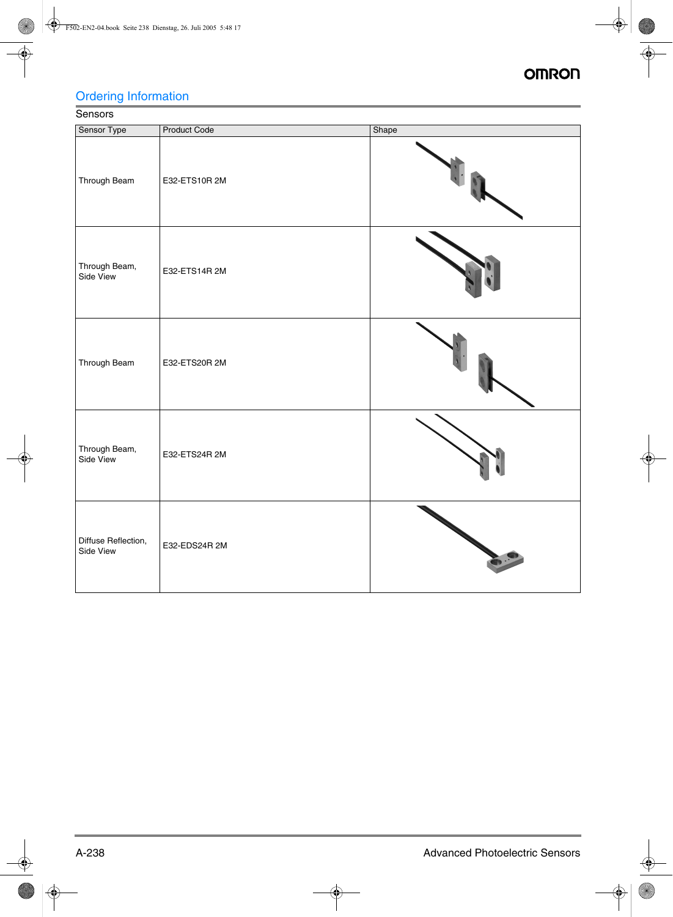# Ordering Information

# **Sensors**

| Sensor Type                      | <b>Product Code</b> | Shape |
|----------------------------------|---------------------|-------|
| Through Beam                     | E32-ETS10R 2M       |       |
| Through Beam,<br>Side View       | E32-ETS14R 2M       |       |
| Through Beam                     | E32-ETS20R 2M       |       |
| Through Beam,<br>Side View       | E32-ETS24R 2M       |       |
| Diffuse Reflection,<br>Side View | E32-EDS24R 2M       |       |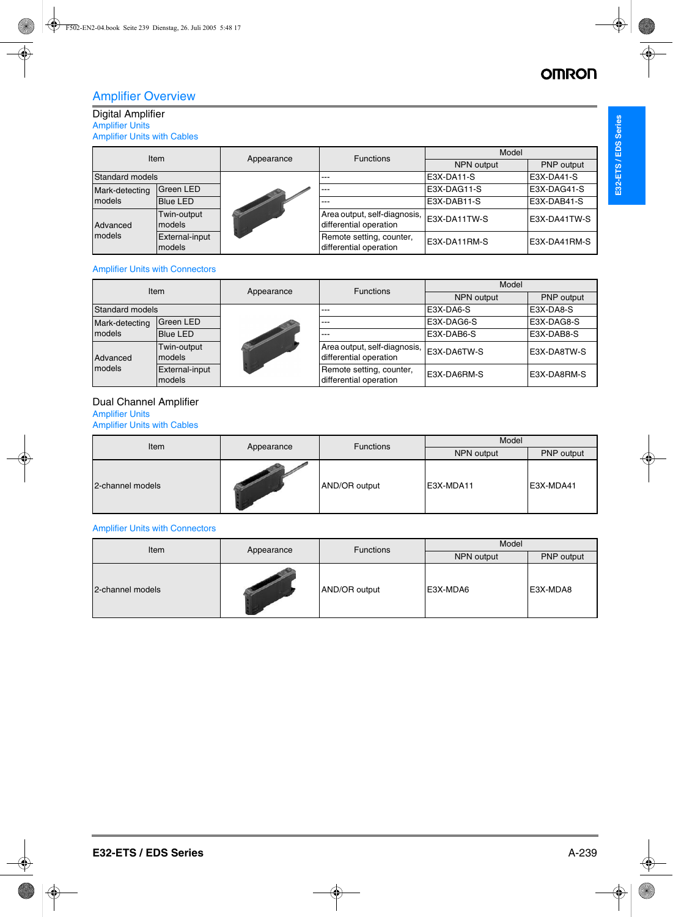## Amplifier Overview

## Digital Amplifier

Amplifier Units Amplifier Units with Cables

| Item            |                          | Appearance | <b>Functions</b>                                                     | Model        |              |
|-----------------|--------------------------|------------|----------------------------------------------------------------------|--------------|--------------|
|                 |                          |            |                                                                      | NPN output   | PNP output   |
| Standard models |                          |            | $---$                                                                | E3X-DA11-S   | E3X-DA41-S   |
| Mark-detecting  | <b>Green LED</b>         |            | $---$                                                                | E3X-DAG11-S  | E3X-DAG41-S  |
| <b>models</b>   | <b>Blue LED</b>          |            | $---$                                                                | E3X-DAB11-S  | E3X-DAB41-S  |
| Advanced        | Twin-output<br>models    |            | Area output, self-diagnosis,  E3X-DA11TW-S<br>differential operation |              | E3X-DA41TW-S |
| <b>models</b>   | External-input<br>models |            | Remote setting, counter,<br>differential operation                   | E3X-DA11RM-S | E3X-DA41RM-S |

#### Amplifier Units with Connectors

| <b>Item</b>                        |                       |            | <b>Functions</b>                                       | Model       |             |
|------------------------------------|-----------------------|------------|--------------------------------------------------------|-------------|-------------|
|                                    |                       | Appearance |                                                        | NPN output  | PNP output  |
| Standard models                    |                       |            | $---$                                                  | E3X-DA6-S   | E3X-DA8-S   |
| Mark-detecting                     | Green LED             |            | $---$                                                  | E3X-DAG6-S  | E3X-DAG8-S  |
| models                             | <b>Blue LED</b>       |            | $---$                                                  | E3X-DAB6-S  | E3X-DAB8-S  |
| Advanced                           | Twin-output<br>models |            | Area output, self-diagnosis,<br>differential operation | E3X-DA6TW-S | E3X-DA8TW-S |
| models<br>External-input<br>models |                       |            | Remote setting, counter,<br>differential operation     | E3X-DA6RM-S | E3X-DA8RM-S |

## Dual Channel Amplifier

## Amplifier Units

Amplifier Units with Cables

| Item             |            | <b>Functions</b> | Model      |            |  |
|------------------|------------|------------------|------------|------------|--|
|                  | Appearance |                  | NPN output | PNP output |  |
| 2-channel models |            | AND/OR output    | E3X-MDA11  | E3X-MDA41  |  |

### Amplifier Units with Connectors

| Item             |            | <b>Functions</b> | Model      |            |  |
|------------------|------------|------------------|------------|------------|--|
|                  | Appearance |                  | NPN output | PNP output |  |
| 2-channel models |            | AND/OR output    | E3X-MDA6   | E3X-MDA8   |  |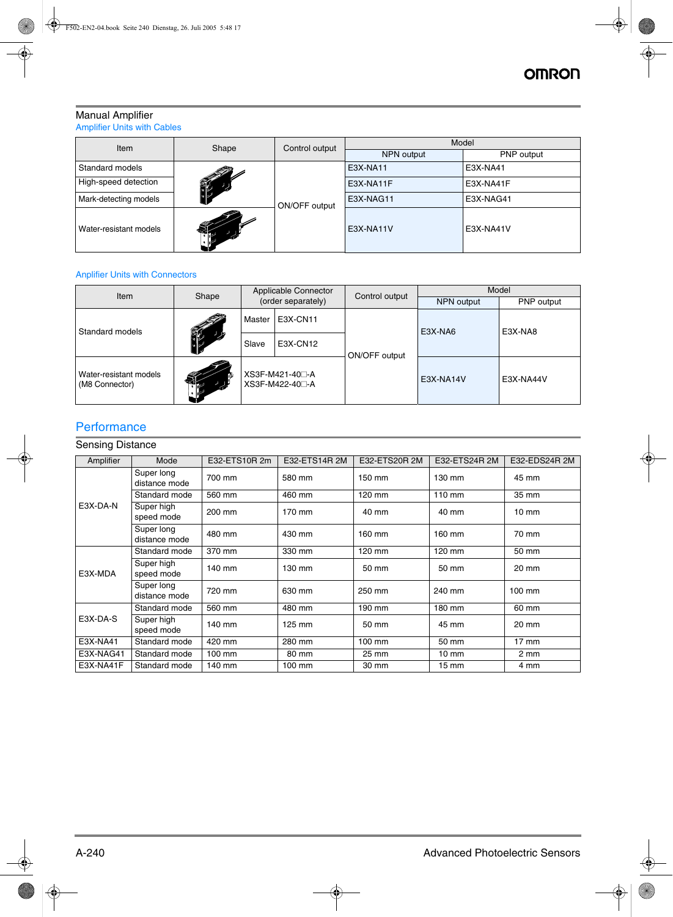## Manual Amplifier

Amplifier Units with Cables

| Item                   | Shape                 | Control output | Model      |            |  |
|------------------------|-----------------------|----------------|------------|------------|--|
|                        |                       |                | NPN output | PNP output |  |
| Standard models        |                       |                | E3X-NA11   | E3X-NA41   |  |
| High-speed detection   | <b>COLLECTION</b>     | ON/OFF output  | E3X-NA11F  | E3X-NA41F  |  |
| Mark-detecting models  |                       |                | E3X-NAG11  | E3X-NAG41  |  |
| Water-resistant models | $\sum_{i=1}^{\infty}$ |                | E3X-NA11V  | E3X-NA41V  |  |

### Anplifier Units with Connectors

| Item                                     | Shape | Applicable Connector<br>(order separately) |          | Control output | Model             |            |
|------------------------------------------|-------|--------------------------------------------|----------|----------------|-------------------|------------|
|                                          |       |                                            |          |                | <b>NPN</b> output | PNP output |
| Standard models                          |       | Master                                     | E3X-CN11 |                | E3X-NA6           | E3X-NA8    |
|                                          |       | Slave                                      | E3X-CN12 |                |                   |            |
| Water-resistant models<br>(M8 Connector) | 稀     | XS3F-M421-40□-A<br>XS3F-M422-40⊟-A         |          | ON/OFF output  | E3X-NA14V         | E3X-NA44V  |

## **Performance**

## Sensing Distance

| Amplifier | Mode                        | E32-ETS10R 2m | E32-ETS14R 2M | E32-ETS20R 2M | E32-ETS24R 2M   | E32-EDS24R 2M    |
|-----------|-----------------------------|---------------|---------------|---------------|-----------------|------------------|
|           | Super long<br>distance mode | 700 mm        | 580 mm        | 150 mm        | 130 mm          | 45 mm            |
|           | Standard mode               | 560 mm        | 460 mm        | 120 mm        | $110$ mm        | 35 mm            |
| E3X-DA-N  | Super high<br>speed mode    | 200 mm        | 170 mm        | 40 mm         | 40 mm           | $10 \text{ mm}$  |
|           | Super long<br>distance mode | 480 mm        | 430 mm        | 160 mm        | 160 mm          | 70 mm            |
|           | Standard mode               | 370 mm        | 330 mm        | 120 mm        | 120 mm          | 50 mm            |
| E3X-MDA   | Super high<br>speed mode    | 140 mm        | 130 mm        | 50 mm         | 50 mm           | 20 mm            |
|           | Super long<br>distance mode | 720 mm        | 630 mm        | 250 mm        | 240 mm          | 100 mm           |
|           | Standard mode               | 560 mm        | 480 mm        | 190 mm        | 180 mm          | 60 mm            |
| E3X-DA-S  | Super high<br>speed mode    | 140 mm        | 125 mm        | 50 mm         | 45 mm           | 20 mm            |
| E3X-NA41  | Standard mode               | 420 mm        | 280 mm        | $100$ mm      | 50 mm           | $17 \text{ mm}$  |
| E3X-NAG41 | Standard mode               | 100 mm        | 80 mm         | 25 mm         | $10 \text{ mm}$ | $2 \, \text{mm}$ |
| E3X-NA41F | Standard mode               | 140 mm        | 100 mm        | 30 mm         | $15 \text{ mm}$ | 4 mm             |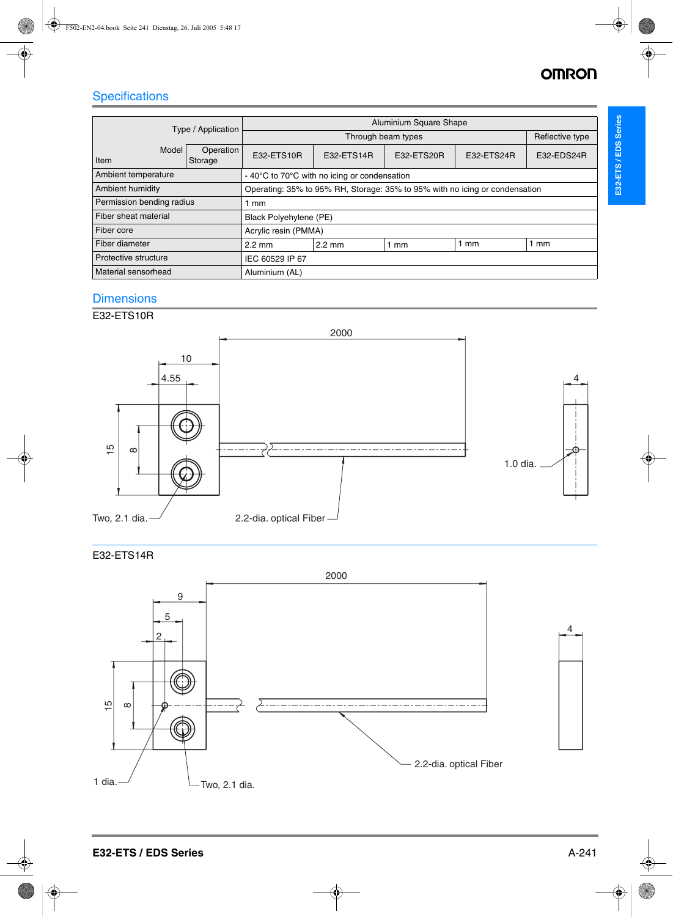# **Specifications**

| Type / Application        |                      | Aluminium Square Shape                                                      |                  |                |                |                |  |
|---------------------------|----------------------|-----------------------------------------------------------------------------|------------------|----------------|----------------|----------------|--|
|                           |                      |                                                                             | Reflective type  |                |                |                |  |
| Model<br>Item             | Operation<br>Storage | E32-ETS10R                                                                  | E32-ETS14R       | E32-ETS20R     | E32-ETS24R     | E32-EDS24R     |  |
| Ambient temperature       |                      | - 40°C to 70°C with no icing or condensation                                |                  |                |                |                |  |
| <b>Ambient humidity</b>   |                      | Operating: 35% to 95% RH, Storage: 35% to 95% with no icing or condensation |                  |                |                |                |  |
| Permission bending radius |                      | mm                                                                          |                  |                |                |                |  |
| Fiber sheat material      |                      | Black Polyehylene (PE)                                                      |                  |                |                |                |  |
| Fiber core                |                      | Acrylic resin (PMMA)                                                        |                  |                |                |                |  |
| Fiber diameter            |                      | $2.2 \text{ mm}$                                                            | $2.2 \text{ mm}$ | $1 \text{ mm}$ | $1 \text{ mm}$ | $1 \text{ mm}$ |  |
| Protective structure      |                      | IEC 60529 IP 67                                                             |                  |                |                |                |  |
| Material sensorhead       |                      | Aluminium (AL)                                                              |                  |                |                |                |  |

## **Dimensions**

## E32-ETS10R



## E32-ETS14R

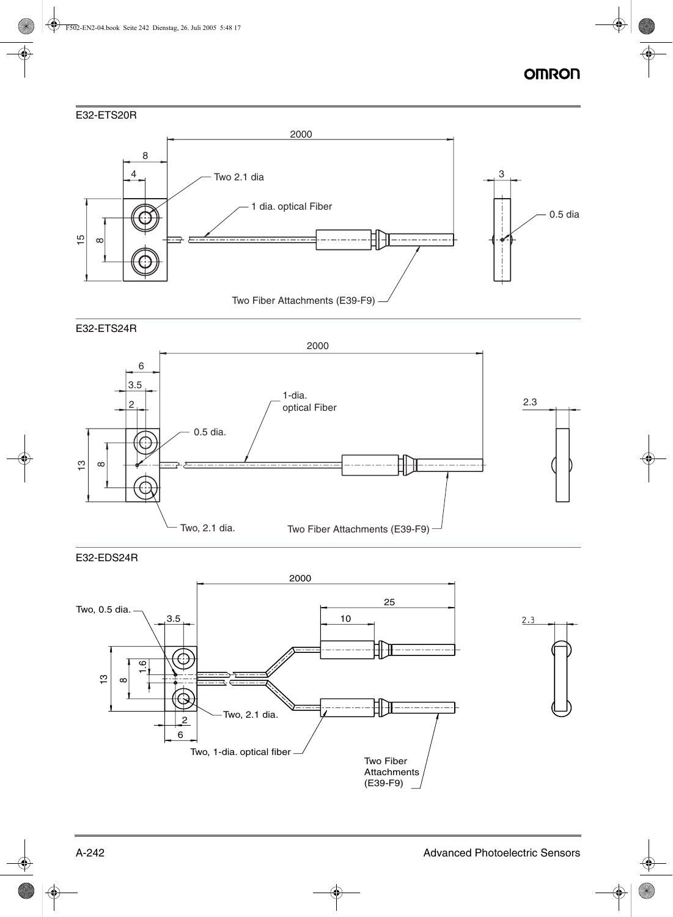### E32-ETS20R



#### E32-ETS24R



E32-EDS24R

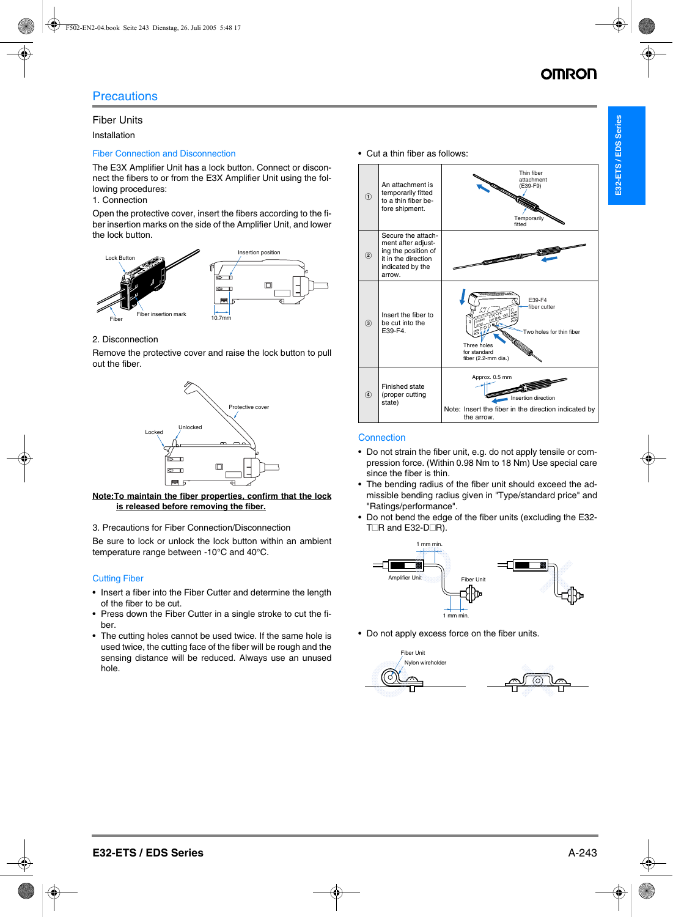## Fiber Units

Installation

## Fiber Connection and Disconnection

The E3X Amplifier Unit has a lock button. Connect or disconnect the fibers to or from the E3X Amplifier Unit using the following procedures:

## 1. Connection

Open the protective cover, insert the fibers according to the fiber insertion marks on the side of the Amplifier Unit, and lower the lock button.



## 2. Disconnection

Remove the protective cover and raise the lock button to pull out the fiber.



#### **Note:To maintain the fiber properties, confirm that the lock is released before removing the fiber.**

3. Precautions for Fiber Connection/Disconnection

Be sure to lock or unlock the lock button within an ambient temperature range between -10°C and 40°C.

## Cutting Fiber

- Insert a fiber into the Fiber Cutter and determine the length of the fiber to be cut.
- Press down the Fiber Cutter in a single stroke to cut the fiber.
- The cutting holes cannot be used twice. If the same hole is used twice, the cutting face of the fiber will be rough and the sensing distance will be reduced. Always use an unused hole.

• Cut a thin fiber as follows:



## **Connection**

- Do not strain the fiber unit, e.g. do not apply tensile or compression force. (Within 0.98 Nm to 18 Nm) Use special care since the fiber is thin.
- The bending radius of the fiber unit should exceed the admissible bending radius given in "Type/standard price" and "Ratings/performance".
- Do not bend the edge of the fiber units (excluding the E32- T $\Box$ R and E32-D $\Box$ R).



• Do not apply excess force on the fiber units.